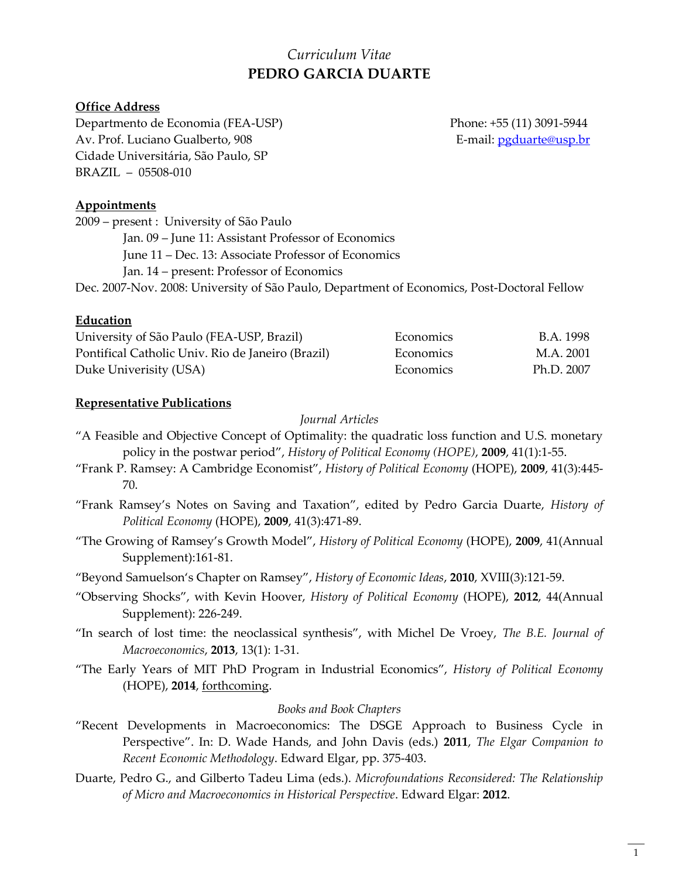# *Curriculum Vitae* **PEDRO GARCIA DUARTE**

## **Office Address**

Departmento de Economia (FEA-USP) Phone: +55 (11) 3091-5944 Av. Prof. Luciano Gualberto, 908 E-mail: [pgduarte@usp.br](mailto:pgduarte@usp.br) Cidade Universitária, São Paulo, SP BRAZIL – 05508-010

## **Appointments**

2009 – present : University of São Paulo Jan. 09 – June 11: Assistant Professor of Economics June 11 – Dec. 13: Associate Professor of Economics Jan. 14 – present: Professor of Economics Dec. 2007-Nov. 2008: University of São Paulo, Department of Economics, Post-Doctoral Fellow

### **Education**

| University of São Paulo (FEA-USP, Brazil)<br>Pontifical Catholic Univ. Rio de Janeiro (Brazil) | Economics<br><b>Economics</b> | B.A. 1998<br>M.A. 2001 |
|------------------------------------------------------------------------------------------------|-------------------------------|------------------------|
|                                                                                                |                               |                        |

#### **Representative Publications**

*Journal Articles*

- "A Feasible and Objective Concept of Optimality: the quadratic loss function and U.S. monetary policy in the postwar period", *History of Political Economy (HOPE)*, **2009**, 41(1):1-55.
- "Frank P. Ramsey: A Cambridge Economist", *History of Political Economy* (HOPE), **2009**, 41(3):445- 70.
- "Frank Ramsey's Notes on Saving and Taxation", edited by Pedro Garcia Duarte, *History of Political Economy* (HOPE), **2009**, 41(3):471-89.
- "The Growing of Ramsey's Growth Model", *History of Political Economy* (HOPE), **2009**, 41(Annual Supplement):161-81.
- "Beyond Samuelson's Chapter on Ramsey", *History of Economic Ideas*, **2010**, XVIII(3):121-59.
- "Observing Shocks", with Kevin Hoover, *History of Political Economy* (HOPE), **2012**, 44(Annual Supplement): 226-249.
- "In search of lost time: the neoclassical synthesis", with Michel De Vroey, *The B.E. Journal of Macroeconomics*, **2013**, 13(1): 1-31.
- "The Early Years of MIT PhD Program in Industrial Economics", *History of Political Economy*  (HOPE), **2014**, forthcoming.

#### *Books and Book Chapters*

- "Recent Developments in Macroeconomics: The DSGE Approach to Business Cycle in Perspective". In: D. Wade Hands, and John Davis (eds.) **2011**, *The Elgar Companion to Recent Economic Methodology*. Edward Elgar, pp. 375-403.
- Duarte, Pedro G., and Gilberto Tadeu Lima (eds.). *Microfoundations Reconsidered: The Relationship of Micro and Macroeconomics in Historical Perspective*. Edward Elgar: **2012**.